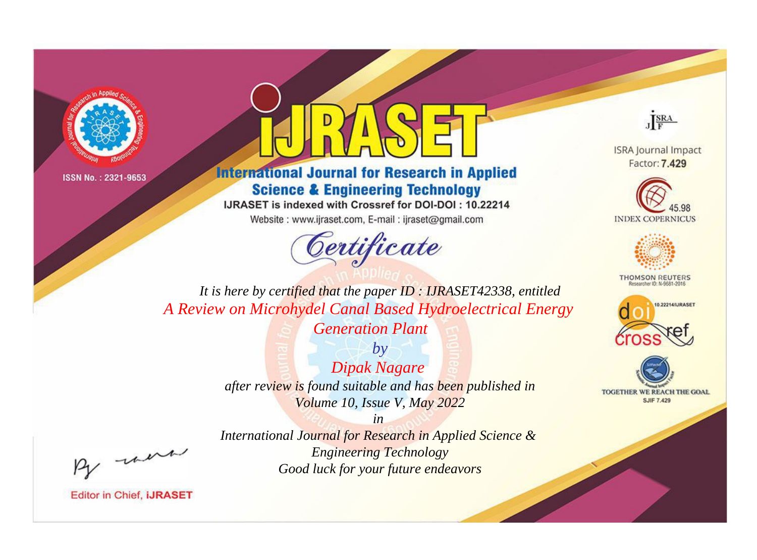



**International Journal for Research in Applied Science & Engineering Technology** 

IJRASET is indexed with Crossref for DOI-DOI: 10.22214

Website: www.ijraset.com, E-mail: ijraset@gmail.com



JERA

**ISRA Journal Impact** Factor: 7.429





**THOMSON REUTERS** 



TOGETHER WE REACH THE GOAL **SJIF 7.429** 

It is here by certified that the paper ID: IJRASET42338, entitled A Review on Microhydel Canal Based Hydroelectrical Energy **Generation Plant** 

> $b\nu$ **Dipak Nagare** after review is found suitable and has been published in Volume 10, Issue V, May 2022

were

International Journal for Research in Applied Science & **Engineering Technology** Good luck for your future endeavors

 $in$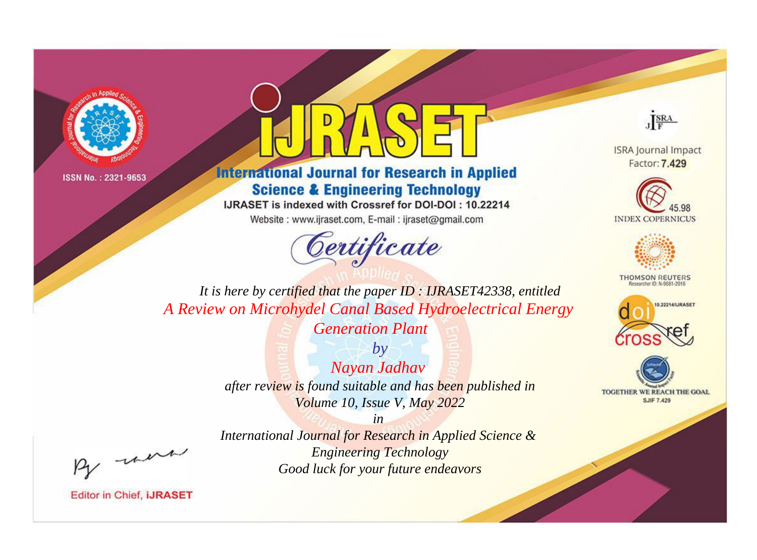



**International Journal for Research in Applied Science & Engineering Technology** 

IJRASET is indexed with Crossref for DOI-DOI: 10.22214

Website: www.ijraset.com, E-mail: ijraset@gmail.com



JERA

**ISRA Journal Impact** Factor: 7.429





**THOMSON REUTERS** 



TOGETHER WE REACH THE GOAL **SJIF 7.429** 

It is here by certified that the paper ID: IJRASET42338, entitled A Review on Microhydel Canal Based Hydroelectrical Energy **Generation Plant** 

> $b\nu$ Nayan Jadhav after review is found suitable and has been published in Volume 10, Issue V, May 2022

were

International Journal for Research in Applied Science & **Engineering Technology** Good luck for your future endeavors

 $in$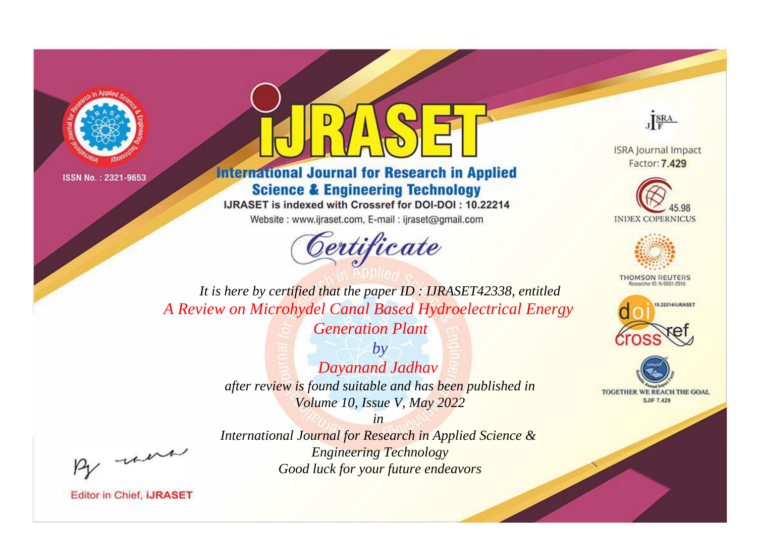



## **International Journal for Research in Applied Science & Engineering Technology**

IJRASET is indexed with Crossref for DOI-DOI: 10.22214

Website: www.ijraset.com, E-mail: ijraset@gmail.com



JERA

**ISRA Journal Impact** Factor: 7.429





**THOMSON REUTERS** 



TOGETHER WE REACH THE GOAL **SJIF 7.429** 

*It is here by certified that the paper ID : IJRASET42338, entitled A Review on Microhydel Canal Based Hydroelectrical Energy Generation Plant*

> *by Dayanand Jadhav after review is found suitable and has been published in Volume 10, Issue V, May 2022*

> > *in*

, un

*International Journal for Research in Applied Science & Engineering Technology Good luck for your future endeavors*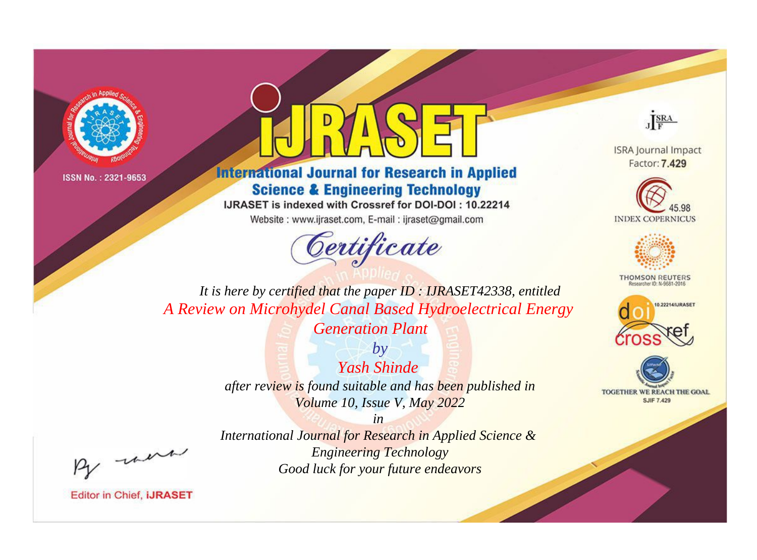



**International Journal for Research in Applied Science & Engineering Technology** 

IJRASET is indexed with Crossref for DOI-DOI: 10.22214

Website: www.ijraset.com, E-mail: ijraset@gmail.com



JERA

**ISRA Journal Impact** Factor: 7.429





**THOMSON REUTERS** 



TOGETHER WE REACH THE GOAL **SJIF 7.429** 

It is here by certified that the paper ID: IJRASET42338, entitled A Review on Microhydel Canal Based Hydroelectrical Energy **Generation Plant** 

> $b\nu$ Yash Shinde after review is found suitable and has been published in Volume 10, Issue V, May 2022

were

International Journal for Research in Applied Science & **Engineering Technology** Good luck for your future endeavors

 $in$